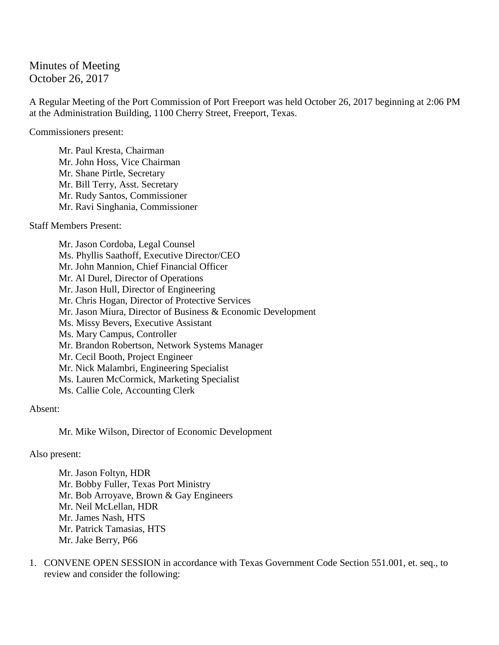Minutes of Meeting October 26, 2017

A Regular Meeting of the Port Commission of Port Freeport was held October 26, 2017 beginning at 2:06 PM at the Administration Building, 1100 Cherry Street, Freeport, Texas.

Commissioners present:

Mr. Paul Kresta, Chairman Mr. John Hoss, Vice Chairman Mr. Shane Pirtle, Secretary Mr. Bill Terry, Asst. Secretary Mr. Rudy Santos, Commissioner Mr. Ravi Singhania, Commissioner

Staff Members Present:

Mr. Jason Cordoba, Legal Counsel Ms. Phyllis Saathoff, Executive Director/CEO Mr. John Mannion, Chief Financial Officer Mr. Al Durel, Director of Operations Mr. Jason Hull, Director of Engineering Mr. Chris Hogan, Director of Protective Services Mr. Jason Miura, Director of Business & Economic Development Ms. Missy Bevers, Executive Assistant Ms. Mary Campus, Controller Mr. Brandon Robertson, Network Systems Manager Mr. Cecil Booth, Project Engineer Mr. Nick Malambri, Engineering Specialist Ms. Lauren McCormick, Marketing Specialist Ms. Callie Cole, Accounting Clerk

Absent:

Mr. Mike Wilson, Director of Economic Development

Also present:

Mr. Jason Foltyn, HDR Mr. Bobby Fuller, Texas Port Ministry Mr. Bob Arroyave, Brown & Gay Engineers Mr. Neil McLellan, HDR Mr. James Nash, HTS Mr. Patrick Tamasias, HTS Mr. Jake Berry, P66

1. CONVENE OPEN SESSION in accordance with Texas Government Code Section 551.001, et. seq., to review and consider the following: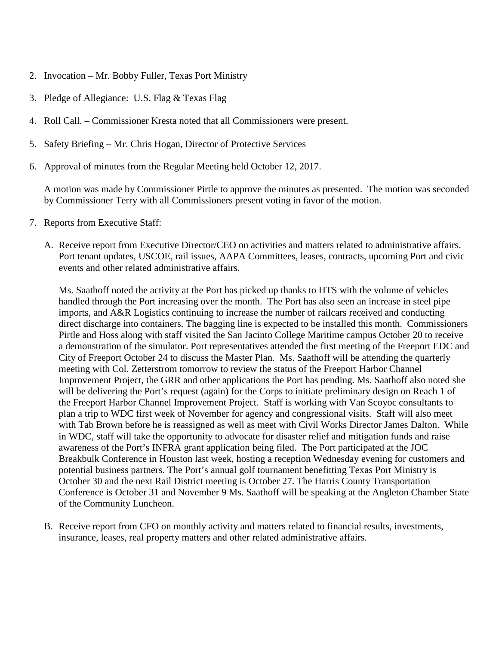- 2. Invocation Mr. Bobby Fuller, Texas Port Ministry
- 3. Pledge of Allegiance: U.S. Flag & Texas Flag
- 4. Roll Call. Commissioner Kresta noted that all Commissioners were present.
- 5. Safety Briefing Mr. Chris Hogan, Director of Protective Services
- 6. Approval of minutes from the Regular Meeting held October 12, 2017.

A motion was made by Commissioner Pirtle to approve the minutes as presented. The motion was seconded by Commissioner Terry with all Commissioners present voting in favor of the motion.

- 7. Reports from Executive Staff:
	- A. Receive report from Executive Director/CEO on activities and matters related to administrative affairs. Port tenant updates, USCOE, rail issues, AAPA Committees, leases, contracts, upcoming Port and civic events and other related administrative affairs.

Ms. Saathoff noted the activity at the Port has picked up thanks to HTS with the volume of vehicles handled through the Port increasing over the month. The Port has also seen an increase in steel pipe imports, and A&R Logistics continuing to increase the number of railcars received and conducting direct discharge into containers. The bagging line is expected to be installed this month. Commissioners Pirtle and Hoss along with staff visited the San Jacinto College Maritime campus October 20 to receive a demonstration of the simulator. Port representatives attended the first meeting of the Freeport EDC and City of Freeport October 24 to discuss the Master Plan. Ms. Saathoff will be attending the quarterly meeting with Col. Zetterstrom tomorrow to review the status of the Freeport Harbor Channel Improvement Project, the GRR and other applications the Port has pending. Ms. Saathoff also noted she will be delivering the Port's request (again) for the Corps to initiate preliminary design on Reach 1 of the Freeport Harbor Channel Improvement Project. Staff is working with Van Scoyoc consultants to plan a trip to WDC first week of November for agency and congressional visits. Staff will also meet with Tab Brown before he is reassigned as well as meet with Civil Works Director James Dalton. While in WDC, staff will take the opportunity to advocate for disaster relief and mitigation funds and raise awareness of the Port's INFRA grant application being filed. The Port participated at the JOC Breakbulk Conference in Houston last week, hosting a reception Wednesday evening for customers and potential business partners. The Port's annual golf tournament benefitting Texas Port Ministry is October 30 and the next Rail District meeting is October 27. The Harris County Transportation Conference is October 31 and November 9 Ms. Saathoff will be speaking at the Angleton Chamber State of the Community Luncheon.

B. Receive report from CFO on monthly activity and matters related to financial results, investments, insurance, leases, real property matters and other related administrative affairs.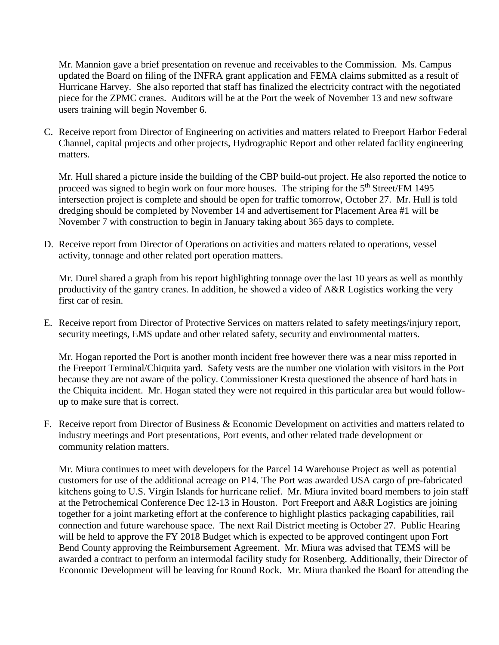Mr. Mannion gave a brief presentation on revenue and receivables to the Commission. Ms. Campus updated the Board on filing of the INFRA grant application and FEMA claims submitted as a result of Hurricane Harvey. She also reported that staff has finalized the electricity contract with the negotiated piece for the ZPMC cranes. Auditors will be at the Port the week of November 13 and new software users training will begin November 6.

C. Receive report from Director of Engineering on activities and matters related to Freeport Harbor Federal Channel, capital projects and other projects, Hydrographic Report and other related facility engineering matters.

Mr. Hull shared a picture inside the building of the CBP build-out project. He also reported the notice to proceed was signed to begin work on four more houses. The striping for the 5<sup>th</sup> Street/FM 1495 intersection project is complete and should be open for traffic tomorrow, October 27. Mr. Hull is told dredging should be completed by November 14 and advertisement for Placement Area #1 will be November 7 with construction to begin in January taking about 365 days to complete.

D. Receive report from Director of Operations on activities and matters related to operations, vessel activity, tonnage and other related port operation matters.

Mr. Durel shared a graph from his report highlighting tonnage over the last 10 years as well as monthly productivity of the gantry cranes. In addition, he showed a video of A&R Logistics working the very first car of resin.

E. Receive report from Director of Protective Services on matters related to safety meetings/injury report, security meetings, EMS update and other related safety, security and environmental matters.

Mr. Hogan reported the Port is another month incident free however there was a near miss reported in the Freeport Terminal/Chiquita yard. Safety vests are the number one violation with visitors in the Port because they are not aware of the policy. Commissioner Kresta questioned the absence of hard hats in the Chiquita incident. Mr. Hogan stated they were not required in this particular area but would followup to make sure that is correct.

F. Receive report from Director of Business & Economic Development on activities and matters related to industry meetings and Port presentations, Port events, and other related trade development or community relation matters.

Mr. Miura continues to meet with developers for the Parcel 14 Warehouse Project as well as potential customers for use of the additional acreage on P14. The Port was awarded USA cargo of pre-fabricated kitchens going to U.S. Virgin Islands for hurricane relief. Mr. Miura invited board members to join staff at the Petrochemical Conference Dec 12-13 in Houston. Port Freeport and A&R Logistics are joining together for a joint marketing effort at the conference to highlight plastics packaging capabilities, rail connection and future warehouse space. The next Rail District meeting is October 27. Public Hearing will be held to approve the FY 2018 Budget which is expected to be approved contingent upon Fort Bend County approving the Reimbursement Agreement. Mr. Miura was advised that TEMS will be awarded a contract to perform an intermodal facility study for Rosenberg. Additionally, their Director of Economic Development will be leaving for Round Rock. Mr. Miura thanked the Board for attending the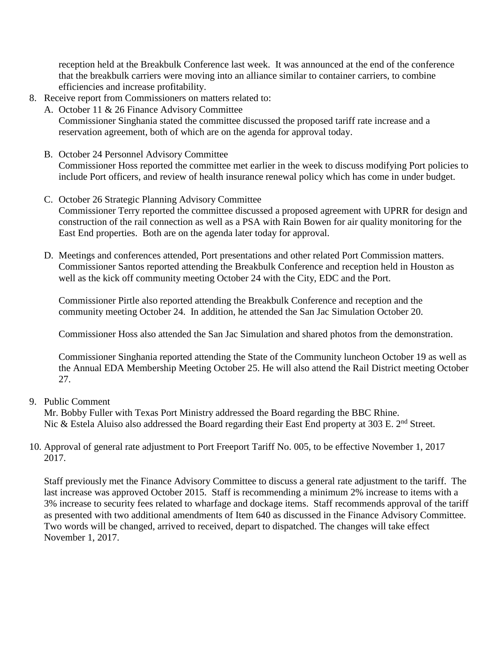reception held at the Breakbulk Conference last week. It was announced at the end of the conference that the breakbulk carriers were moving into an alliance similar to container carriers, to combine efficiencies and increase profitability.

- 8. Receive report from Commissioners on matters related to:
	- A. October 11 & 26 Finance Advisory Committee Commissioner Singhania stated the committee discussed the proposed tariff rate increase and a reservation agreement, both of which are on the agenda for approval today.
	- B. October 24 Personnel Advisory Committee Commissioner Hoss reported the committee met earlier in the week to discuss modifying Port policies to include Port officers, and review of health insurance renewal policy which has come in under budget.
	- C. October 26 Strategic Planning Advisory Committee Commissioner Terry reported the committee discussed a proposed agreement with UPRR for design and construction of the rail connection as well as a PSA with Rain Bowen for air quality monitoring for the East End properties. Both are on the agenda later today for approval.
	- D. Meetings and conferences attended, Port presentations and other related Port Commission matters. Commissioner Santos reported attending the Breakbulk Conference and reception held in Houston as well as the kick off community meeting October 24 with the City, EDC and the Port.

Commissioner Pirtle also reported attending the Breakbulk Conference and reception and the community meeting October 24. In addition, he attended the San Jac Simulation October 20.

Commissioner Hoss also attended the San Jac Simulation and shared photos from the demonstration.

Commissioner Singhania reported attending the State of the Community luncheon October 19 as well as the Annual EDA Membership Meeting October 25. He will also attend the Rail District meeting October 27.

9. Public Comment

Mr. Bobby Fuller with Texas Port Ministry addressed the Board regarding the BBC Rhine. Nic & Estela Aluiso also addressed the Board regarding their East End property at 303 E. 2<sup>nd</sup> Street.

10. Approval of general rate adjustment to Port Freeport Tariff No. 005, to be effective November 1, 2017 2017.

Staff previously met the Finance Advisory Committee to discuss a general rate adjustment to the tariff. The last increase was approved October 2015. Staff is recommending a minimum 2% increase to items with a 3% increase to security fees related to wharfage and dockage items. Staff recommends approval of the tariff as presented with two additional amendments of Item 640 as discussed in the Finance Advisory Committee. Two words will be changed, arrived to received, depart to dispatched. The changes will take effect November 1, 2017.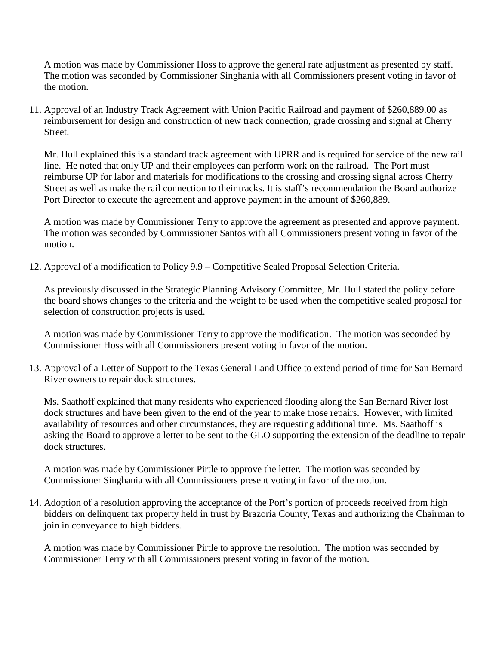A motion was made by Commissioner Hoss to approve the general rate adjustment as presented by staff. The motion was seconded by Commissioner Singhania with all Commissioners present voting in favor of the motion.

11. Approval of an Industry Track Agreement with Union Pacific Railroad and payment of \$260,889.00 as reimbursement for design and construction of new track connection, grade crossing and signal at Cherry Street.

Mr. Hull explained this is a standard track agreement with UPRR and is required for service of the new rail line. He noted that only UP and their employees can perform work on the railroad. The Port must reimburse UP for labor and materials for modifications to the crossing and crossing signal across Cherry Street as well as make the rail connection to their tracks. It is staff's recommendation the Board authorize Port Director to execute the agreement and approve payment in the amount of \$260,889.

A motion was made by Commissioner Terry to approve the agreement as presented and approve payment. The motion was seconded by Commissioner Santos with all Commissioners present voting in favor of the motion.

12. Approval of a modification to Policy 9.9 – Competitive Sealed Proposal Selection Criteria.

As previously discussed in the Strategic Planning Advisory Committee, Mr. Hull stated the policy before the board shows changes to the criteria and the weight to be used when the competitive sealed proposal for selection of construction projects is used.

A motion was made by Commissioner Terry to approve the modification. The motion was seconded by Commissioner Hoss with all Commissioners present voting in favor of the motion.

13. Approval of a Letter of Support to the Texas General Land Office to extend period of time for San Bernard River owners to repair dock structures.

Ms. Saathoff explained that many residents who experienced flooding along the San Bernard River lost dock structures and have been given to the end of the year to make those repairs. However, with limited availability of resources and other circumstances, they are requesting additional time. Ms. Saathoff is asking the Board to approve a letter to be sent to the GLO supporting the extension of the deadline to repair dock structures.

A motion was made by Commissioner Pirtle to approve the letter. The motion was seconded by Commissioner Singhania with all Commissioners present voting in favor of the motion.

14. Adoption of a resolution approving the acceptance of the Port's portion of proceeds received from high bidders on delinquent tax property held in trust by Brazoria County, Texas and authorizing the Chairman to join in conveyance to high bidders.

A motion was made by Commissioner Pirtle to approve the resolution. The motion was seconded by Commissioner Terry with all Commissioners present voting in favor of the motion.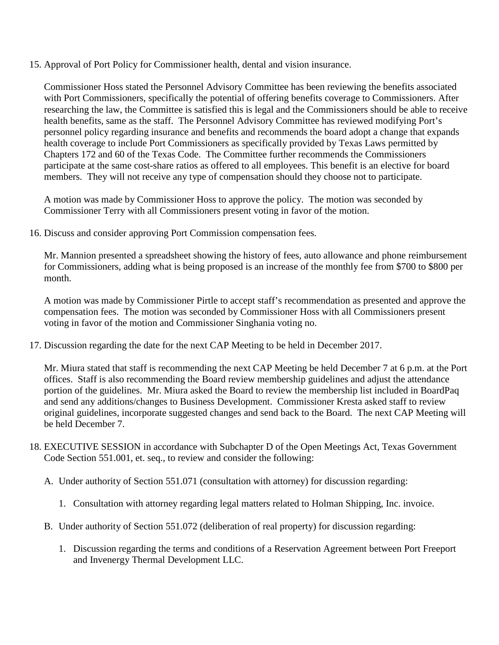15. Approval of Port Policy for Commissioner health, dental and vision insurance.

Commissioner Hoss stated the Personnel Advisory Committee has been reviewing the benefits associated with Port Commissioners, specifically the potential of offering benefits coverage to Commissioners. After researching the law, the Committee is satisfied this is legal and the Commissioners should be able to receive health benefits, same as the staff. The Personnel Advisory Committee has reviewed modifying Port's personnel policy regarding insurance and benefits and recommends the board adopt a change that expands health coverage to include Port Commissioners as specifically provided by Texas Laws permitted by Chapters 172 and 60 of the Texas Code. The Committee further recommends the Commissioners participate at the same cost-share ratios as offered to all employees. This benefit is an elective for board members. They will not receive any type of compensation should they choose not to participate.

A motion was made by Commissioner Hoss to approve the policy. The motion was seconded by Commissioner Terry with all Commissioners present voting in favor of the motion.

16. Discuss and consider approving Port Commission compensation fees.

Mr. Mannion presented a spreadsheet showing the history of fees, auto allowance and phone reimbursement for Commissioners, adding what is being proposed is an increase of the monthly fee from \$700 to \$800 per month.

A motion was made by Commissioner Pirtle to accept staff's recommendation as presented and approve the compensation fees. The motion was seconded by Commissioner Hoss with all Commissioners present voting in favor of the motion and Commissioner Singhania voting no.

17. Discussion regarding the date for the next CAP Meeting to be held in December 2017.

Mr. Miura stated that staff is recommending the next CAP Meeting be held December 7 at 6 p.m. at the Port offices. Staff is also recommending the Board review membership guidelines and adjust the attendance portion of the guidelines. Mr. Miura asked the Board to review the membership list included in BoardPaq and send any additions/changes to Business Development. Commissioner Kresta asked staff to review original guidelines, incorporate suggested changes and send back to the Board. The next CAP Meeting will be held December 7.

- 18. EXECUTIVE SESSION in accordance with Subchapter D of the Open Meetings Act, Texas Government Code Section 551.001, et. seq., to review and consider the following:
	- A. Under authority of Section 551.071 (consultation with attorney) for discussion regarding:
		- 1. Consultation with attorney regarding legal matters related to Holman Shipping, Inc. invoice.
	- B. Under authority of Section 551.072 (deliberation of real property) for discussion regarding:
		- 1. Discussion regarding the terms and conditions of a Reservation Agreement between Port Freeport and Invenergy Thermal Development LLC.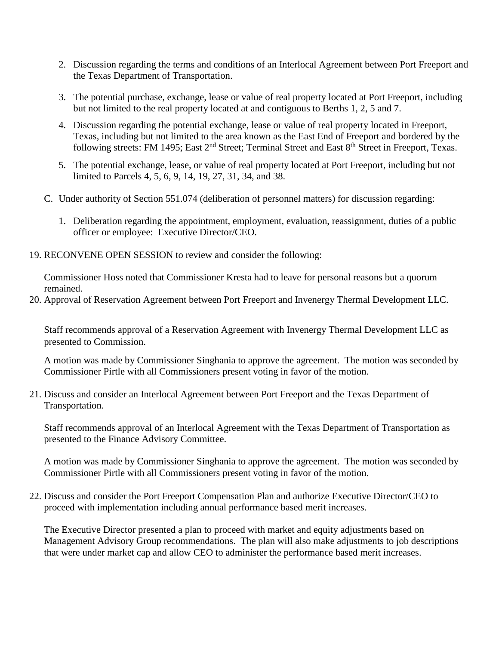- 2. Discussion regarding the terms and conditions of an Interlocal Agreement between Port Freeport and the Texas Department of Transportation.
- 3. The potential purchase, exchange, lease or value of real property located at Port Freeport, including but not limited to the real property located at and contiguous to Berths 1, 2, 5 and 7.
- 4. Discussion regarding the potential exchange, lease or value of real property located in Freeport, Texas, including but not limited to the area known as the East End of Freeport and bordered by the following streets: FM 1495; East 2<sup>nd</sup> Street; Terminal Street and East 8<sup>th</sup> Street in Freeport, Texas.
- 5. The potential exchange, lease, or value of real property located at Port Freeport, including but not limited to Parcels 4, 5, 6, 9, 14, 19, 27, 31, 34, and 38.
- C. Under authority of Section 551.074 (deliberation of personnel matters) for discussion regarding:
	- 1. Deliberation regarding the appointment, employment, evaluation, reassignment, duties of a public officer or employee: Executive Director/CEO.
- 19. RECONVENE OPEN SESSION to review and consider the following:

Commissioner Hoss noted that Commissioner Kresta had to leave for personal reasons but a quorum remained.

20. Approval of Reservation Agreement between Port Freeport and Invenergy Thermal Development LLC.

Staff recommends approval of a Reservation Agreement with Invenergy Thermal Development LLC as presented to Commission.

A motion was made by Commissioner Singhania to approve the agreement. The motion was seconded by Commissioner Pirtle with all Commissioners present voting in favor of the motion.

21. Discuss and consider an Interlocal Agreement between Port Freeport and the Texas Department of Transportation.

Staff recommends approval of an Interlocal Agreement with the Texas Department of Transportation as presented to the Finance Advisory Committee.

A motion was made by Commissioner Singhania to approve the agreement. The motion was seconded by Commissioner Pirtle with all Commissioners present voting in favor of the motion.

22. Discuss and consider the Port Freeport Compensation Plan and authorize Executive Director/CEO to proceed with implementation including annual performance based merit increases.

The Executive Director presented a plan to proceed with market and equity adjustments based on Management Advisory Group recommendations. The plan will also make adjustments to job descriptions that were under market cap and allow CEO to administer the performance based merit increases.